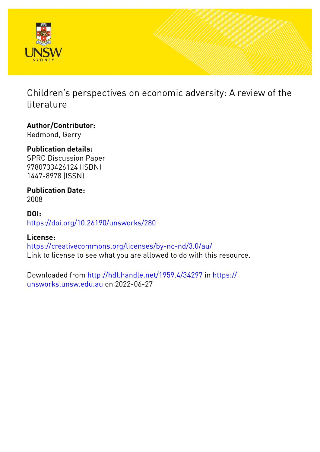

Children's perspectives on economic adversity: A review of the literature

**Author/Contributor:** Redmond, Gerry

# **Publication details:**

SPRC Discussion Paper 9780733426124 (ISBN) 1447-8978 (ISSN)

**Publication Date:** 2008

**DOI:** [https://doi.org/10.26190/unsworks/280](http://dx.doi.org/https://doi.org/10.26190/unsworks/280)

# **License:**

<https://creativecommons.org/licenses/by-nc-nd/3.0/au/> Link to license to see what you are allowed to do with this resource.

Downloaded from <http://hdl.handle.net/1959.4/34297> in [https://](https://unsworks.unsw.edu.au) [unsworks.unsw.edu.au](https://unsworks.unsw.edu.au) on 2022-06-27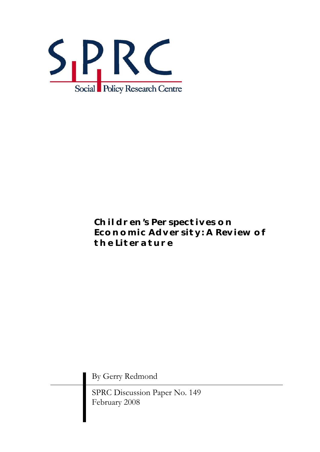

# *Children's Perspectives on Economic Adversity: A Review of the Literature*

By Gerry Redmond

SPRC Discussion Paper No. 149 February 2008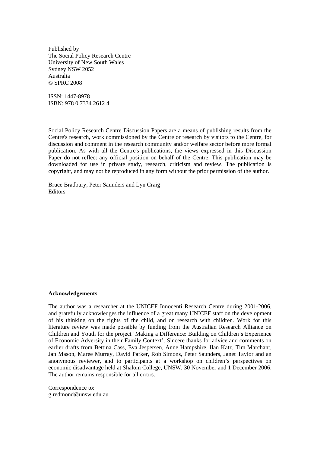Published by The Social Policy Research Centre University of New South Wales Sydney NSW 2052 Australia © SPRC 2008

ISSN: 1447-8978 ISBN: 978 0 7334 2612 4

Social Policy Research Centre Discussion Papers are a means of publishing results from the Centre's research, work commissioned by the Centre or research by visitors to the Centre, for discussion and comment in the research community and/or welfare sector before more formal publication. As with all the Centre's publications, the views expressed in this Discussion Paper do not reflect any official position on behalf of the Centre. This publication may be downloaded for use in private study, research, criticism and review. The publication is copyright, and may not be reproduced in any form without the prior permission of the author.

Bruce Bradbury, Peter Saunders and Lyn Craig Editors

#### **Acknowledgements**:

The author was a researcher at the UNICEF Innocenti Research Centre during 2001-2006, and gratefully acknowledges the influence of a great many UNICEF staff on the development of his thinking on the rights of the child, and on research with children. Work for this literature review was made possible by funding from the Australian Research Alliance on Children and Youth for the project 'Making a Difference: Building on Children's Experience of Economic Adversity in their Family Context'. Sincere thanks for advice and comments on earlier drafts from Bettina Cass, Eva Jespersen, Anne Hampshire, Ilan Katz, Tim Marchant, Jan Mason, Maree Murray, David Parker, Rob Simons, Peter Saunders, Janet Taylor and an anonymous reviewer, and to participants at a workshop on children's perspectives on economic disadvantage held at Shalom College, UNSW, 30 November and 1 December 2006. The author remains responsible for all errors.

Correspondence to: g.redmond@unsw.edu.au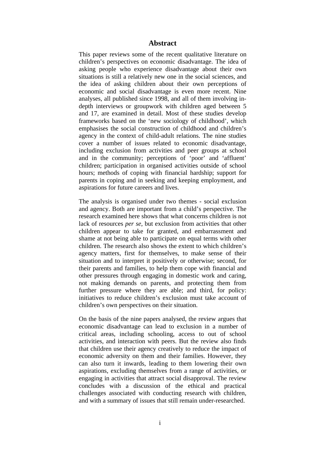#### **Abstract**

This paper reviews some of the recent qualitative literature on children's perspectives on economic disadvantage. The idea of asking people who experience disadvantage about their own situations is still a relatively new one in the social sciences, and the idea of asking children about their own perceptions of economic and social disadvantage is even more recent. Nine analyses, all published since 1998, and all of them involving indepth interviews or groupwork with children aged between 5 and 17, are examined in detail. Most of these studies develop frameworks based on the 'new sociology of childhood', which emphasises the social construction of childhood and children's agency in the context of child-adult relations. The nine studies cover a number of issues related to economic disadvantage, including exclusion from activities and peer groups at school and in the community; perceptions of 'poor' and 'affluent' children; participation in organised activities outside of school hours; methods of coping with financial hardship; support for parents in coping and in seeking and keeping employment, and aspirations for future careers and lives.

The analysis is organised under two themes - social exclusion and agency. Both are important from a child's perspective. The research examined here shows that what concerns children is not lack of resources *per se*, but exclusion from activities that other children appear to take for granted, and embarrassment and shame at not being able to participate on equal terms with other children. The research also shows the extent to which children's agency matters, first for themselves, to make sense of their situation and to interpret it positively or otherwise; second, for their parents and families, to help them cope with financial and other pressures through engaging in domestic work and caring, not making demands on parents, and protecting them from further pressure where they are able; and third, for policy: initiatives to reduce children's exclusion must take account of children's own perspectives on their situation.

On the basis of the nine papers analysed, the review argues that economic disadvantage can lead to exclusion in a number of critical areas, including schooling, access to out of school activities, and interaction with peers. But the review also finds that children use their agency creatively to reduce the impact of economic adversity on them and their families. However, they can also turn it inwards, leading to them lowering their own aspirations, excluding themselves from a range of activities, or engaging in activities that attract social disapproval. The review concludes with a discussion of the ethical and practical challenges associated with conducting research with children, and with a summary of issues that still remain under-researched.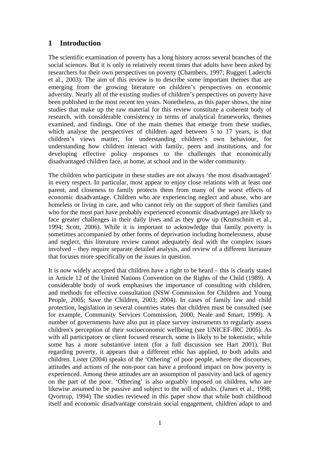# **1 Introduction**

The scientific examination of poverty has a long history across several branches of the social sciences. But it is only in relatively recent times that adults have been asked by researchers for their own perspectives on poverty (Chambers, 1997; Ruggeri Laderchi et al., 2003). The aim of this review is to describe some important themes that are emerging from the growing literature on children's perspectives on economic adversity. Nearly all of the existing studies of children's perspectives on poverty have been published in the most recent ten years. Nonetheless, as this paper shows, the nine studies that make up the raw material for this review constitute a coherent body of research, with considerable consistency in terms of analytical frameworks, themes examined, and findings. One of the main themes that emerge from these studies, which analyse the perspectives of children aged between 5 to 17 years, is that children's views matter, for understanding children's own behaviour, for understanding how children interact with family, peers and institutions, and for developing effective policy responses to the challenges that economically disadvantaged children face, at home, at school and in the wider community.

The children who participate in these studies are not always 'the most disadvantaged' in every respect. In particular, most appear to enjoy close relations with at least one parent, and closeness to family protects them from many of the worst effects of economic disadvantage. Children who are experiencing neglect and abuse, who are homeless or living in care, and who cannot rely on the support of their families (and who for the most part have probably experienced economic disadvantage) are likely to face greater challenges in their daily lives and as they grow up (Kruttschnitt et al., 1994; Scott, 2006). While it is important to acknowledge that family poverty is sometimes accompanied by other forms of deprivation including homelessness, abuse and neglect, this literature review cannot adequately deal with the complex issues involved – they require separate detailed analysis, and review of a different literature that focuses more specifically on the issues in question.

It is now widely accepted that children have a right to be heard – this is clearly stated in Article 12 of the United Nations Convention on the Rights of the Child (1989). A considerable body of work emphasises the importance of consulting with children, and methods for effective consultation (NSW Commission for Children and Young People, 2005; Save the Children, 2003; 2004). In cases of family law and child protection, legislation in several countries states that children must be consulted (see for example, Community Services Commission, 2000, Neale and Smart, 1999). A number of governments have also put in place survey instruments to regularly assess children's perception of their socioeconomic wellbeing (see UNICEF-IRC 2005). As with all participatory or client focused research, some is likely to be tokenistic, while some has a more substantive intent (for a full discussion see Hart 2001). But regarding poverty, it appears that a different ethic has applied, to both adults and children. Lister (2004) speaks of the 'Othering' of poor people, where the discourses, attitudes and actions of the non-poor can have a profound impact on how poverty is experienced. Among these attitudes are an assumption of passivity and lack of agency on the part of the poor. 'Othering' is also arguably imposed on children, who are likewise assumed to be passive and subject to the will of adults. (James et al., 1998; Qvortrup, 1994) The studies reviewed in this paper show that while both childhood itself and economic disadvantage constrain social engagement, children adapt to and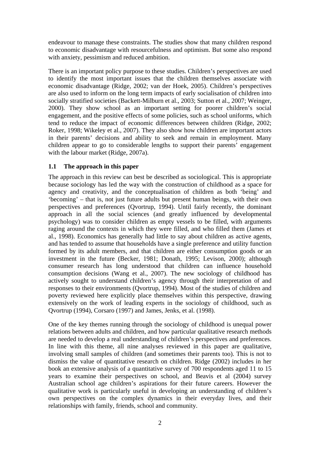endeavour to manage these constraints. The studies show that many children respond to economic disadvantage with resourcefulness and optimism. But some also respond with anxiety, pessimism and reduced ambition.

There is an important policy purpose to these studies. Children's perspectives are used to identify the most important issues that the children themselves associate with economic disadvantage (Ridge, 2002; van der Hoek, 2005). Children's perspectives are also used to inform on the long term impacts of early socialisation of children into socially stratified societies (Backett-Milburn et al., 2003; Sutton et al., 2007; Weinger, 2000). They show school as an important setting for poorer children's social engagement, and the positive effects of some policies, such as school uniforms, which tend to reduce the impact of economic differences between children (Ridge, 2002; Roker, 1998; Wikeley et al., 2007). They also show how children are important actors in their parents' decisions and ability to seek and remain in employment. Many children appear to go to considerable lengths to support their parents' engagement with the labour market (Ridge, 2007a).

## **1.1 The approach in this paper**

The approach in this review can best be described as sociological. This is appropriate because sociology has led the way with the construction of childhood as a space for agency and creativity, and the conceptualisation of children as both 'being' and 'becoming' – that is, not just future adults but present human beings, with their own perspectives and preferences (Qvortrup, 1994). Until fairly recently, the dominant approach in all the social sciences (and greatly influenced by developmental psychology) was to consider children as empty vessels to be filled, with arguments raging around the contexts in which they were filled, and who filled them (James et al., 1998). Economics has generally had little to say about children as active agents, and has tended to assume that households have a single preference and utility function formed by its adult members, and that children are either consumption goods or an investment in the future (Becker, 1981; Donath, 1995; Levison, 2000); although consumer research has long understood that children can influence household consumption decisions (Wang et al., 2007). The new sociology of childhood has actively sought to understand children's agency through their interpretation of and responses to their environments (Qvortrup, 1994). Most of the studies of children and poverty reviewed here explicitly place themselves within this perspective, drawing extensively on the work of leading experts in the sociology of childhood, such as Qvortrup (1994), Corsaro (1997) and James, Jenks, et al. (1998).

One of the key themes running through the sociology of childhood is unequal power relations between adults and children, and how particular qualitative research methods are needed to develop a real understanding of children's perspectives and preferences. In line with this theme, all nine analyses reviewed in this paper are qualitative, involving small samples of children (and sometimes their parents too). This is not to dismiss the value of quantitative research on children. Ridge (2002) includes in her book an extensive analysis of a quantitative survey of 700 respondents aged 11 to 15 years to examine their perspectives on school, and Beavis et al (2004) survey Australian school age children's aspirations for their future careers. However the qualitative work is particularly useful in developing an understanding of children's own perspectives on the complex dynamics in their everyday lives, and their relationships with family, friends, school and community.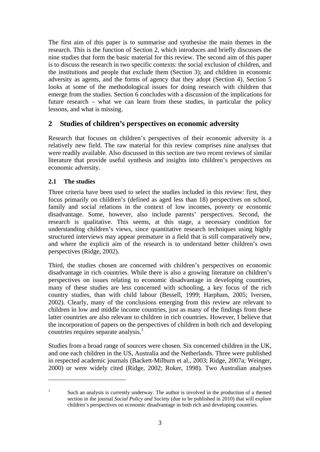<span id="page-6-1"></span>The first aim of this paper is to summarise and synthesise the main themes in the research. This is the function of Section [2](#page-6-0), which introduces and briefly discusses the nine studies that form the basic material for this review. The second aim of this paper is to discuss the research in two specific contexts: the social exclusion of children, and the institutions and people that exclude them (Section [3\)](#page-10-0); and children in economic adversity as agents, and the forms of agency that they adopt (Section [4](#page-16-0)). Section [5](#page-20-0) looks at some of the methodological issues for doing research with children that emerge from the studies. Section [6](#page-23-0) concludes with a discussion of the implications for future research – what we can learn from these studies, in particular the policy lessons, and what is missing.

# <span id="page-6-0"></span>**2 Studies of children's perspectives on economic adversity**

Research that focuses on children's perspectives of their economic adversity is a relatively new field. The raw material for this review comprises nine analyses that were readily available. Also discussed in this section are two recent reviews of similar literature that provide useful synthesis and insights into children's perspectives on economic adversity.

## **2.1 The studies**

1

Three criteria have been used to select the studies included in this review: first, they focus primarily on children's (defined as aged less than 18) perspectives on school, family and social relations in the context of low incomes, poverty or economic disadvantage. Some, however, also include parents' perspectives. Second, the research is qualitative. This seems, at this stage, a necessary condition for understanding children's views, since quantitative research techniques using highly structured interviews may appear premature in a field that is still comparatively new, and where the explicit aim of the research is to understand better children's own perspectives (Ridge, 2002).

Third, the studies chosen are concerned with children's perspectives on economic disadvantage in rich countries. While there is also a growing literature on children's perspectives on issues relating to economic disadvantage in developing countries, many of these studies are less concerned with schooling, a key focus of the rich country studies, than with child labour (Bessell, 1999; Harpham, 2005; Iversen, 2002). Clearly, many of the conclusions emerging from this review are relevant to children in low and middle income countries, just as many of the findings from these latter countries are also relevant to children in rich countries. However, I believe that the incorporation of papers on the perspectives of children in both rich and developing countries requires separate analysis.<sup>[1](#page-6-1)</sup>

Studies from a broad range of sources were chosen. Six concerned children in the UK, and one each children in the US, Australia and the Netherlands. Three were published in respected academic journals (Backett-Milburn et al., 2003; Ridge, 2007a; Weinger, 2000) or were widely cited (Ridge, 2002; Roker, 1998). Two Australian analyses

<sup>1</sup> Such an analysis is currently underway. The author is involved in the production of a themed section in the journal *Social Policy and Society* (due to be published in 2010) that will explore children's perspectives on economic disadvantage in both rich and developing countries.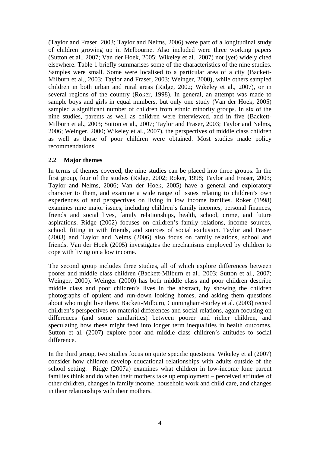(Taylor and Fraser, 2003; Taylor and Nelms, 2006) were part of a longitudinal study of children growing up in Melbourne. Also included were three working papers (Sutton et al., 2007; Van der Hoek, 2005; Wikeley et al., 2007) not (yet) widely cited elsewhere. Table 1 briefly summarises some of the characteristics of the nine studies. Samples were small. Some were localised to a particular area of a city (Backett-Milburn et al., 2003; Taylor and Fraser, 2003; Weinger, 2000), while others sampled children in both urban and rural areas (Ridge, 2002; Wikeley et al., 2007), or in several regions of the country (Roker, 1998). In general, an attempt was made to sample boys and girls in equal numbers, but only one study (Van der Hoek, 2005) sampled a significant number of children from ethnic minority groups. In six of the nine studies, parents as well as children were interviewed, and in five (Backett-Milburn et al., 2003; Sutton et al., 2007; Taylor and Fraser, 2003; Taylor and Nelms, 2006; Weinger, 2000; Wikeley et al., 2007), the perspectives of middle class children as well as those of poor children were obtained. Most studies made policy recommendations.

## **2.2 Major themes**

In terms of themes covered, the nine studies can be placed into three groups. In the first group, four of the studies (Ridge, 2002; Roker, 1998; Taylor and Fraser, 2003; Taylor and Nelms, 2006; Van der Hoek, 2005) have a general and exploratory character to them, and examine a wide range of issues relating to children's own experiences of and perspectives on living in low income families. Roker (1998) examines nine major issues, including children's family incomes, personal finances, friends and social lives, family relationships, health, school, crime, and future aspirations. Ridge (2002) focuses on children's family relations, income sources, school, fitting in with friends, and sources of social exclusion. Taylor and Fraser (2003) and Taylor and Nelms (2006) also focus on family relations, school and friends. Van der Hoek (2005) investigates the mechanisms employed by children to cope with living on a low income.

The second group includes three studies, all of which explore differences between poorer and middle class children (Backett-Milburn et al., 2003; Sutton et al., 2007; Weinger, 2000). Weinger (2000) has both middle class and poor children describe middle class and poor children's lives in the abstract, by showing the children photographs of opulent and run-down looking homes, and asking them questions about who might live there. Backett-Milburn, Cunningham-Burley et al. (2003) record children's perspectives on material differences and social relations, again focusing on differences (and some similarities) between poorer and richer children, and speculating how these might feed into longer term inequalities in health outcomes. Sutton et al. (2007) explore poor and middle class children's attitudes to social difference.

In the third group, two studies focus on quite specific questions. Wikeley et al (2007) consider how children develop educational relationships with adults outside of the school setting. Ridge (2007a) examines what children in low-income lone parent families think and do when their mothers take up employment – perceived attitudes of other children, changes in family income, household work and child care, and changes in their relationships with their mothers.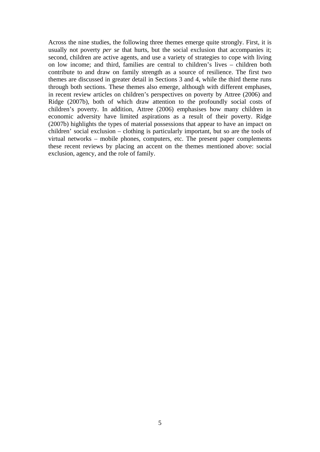Across the nine studies, the following three themes emerge quite strongly. First, it is usually not poverty *per se* that hurts, but the social exclusion that accompanies it; second, children are active agents, and use a variety of strategies to cope with living on low income; and third, families are central to children's lives – children both contribute to and draw on family strength as a source of resilience. The first two themes are discussed in greater detail in Sections [3](#page-10-0) and [4,](#page-16-0) while the third theme runs through both sections. These themes also emerge, although with different emphases, in recent review articles on children's perspectives on poverty by Attree (2006) and Ridge (2007b), both of which draw attention to the profoundly social costs of children's poverty. In addition, Attree (2006) emphasises how many children in economic adversity have limited aspirations as a result of their poverty. Ridge (2007b) highlights the types of material possessions that appear to have an impact on children' social exclusion – clothing is particularly important, but so are the tools of virtual networks – mobile phones, computers, etc. The present paper complements these recent reviews by placing an accent on the themes mentioned above: social exclusion, agency, and the role of family.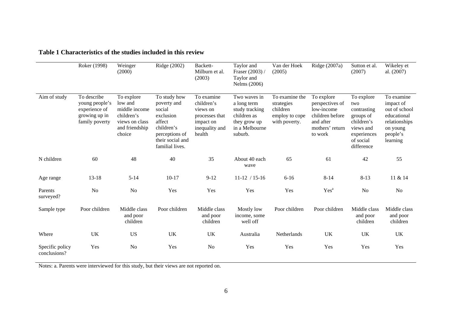|                                 | Roker (1998)                                                                      | Weinger<br>(2000)                                                                                  | Ridge (2002)                                                                                                                        | Backett-<br>Milburn et al.<br>(2003)                                                            | Taylor and<br>Fraser (2003) /<br>Taylor and<br>Nelms (2006)                                               | Van der Hoek<br>(2005)                                                      | Ridge $(2007a)$                                                                                           | Sutton et al.<br>(2007)                                                                                            | Wikeley et<br>al. (2007)                                                                                     |
|---------------------------------|-----------------------------------------------------------------------------------|----------------------------------------------------------------------------------------------------|-------------------------------------------------------------------------------------------------------------------------------------|-------------------------------------------------------------------------------------------------|-----------------------------------------------------------------------------------------------------------|-----------------------------------------------------------------------------|-----------------------------------------------------------------------------------------------------------|--------------------------------------------------------------------------------------------------------------------|--------------------------------------------------------------------------------------------------------------|
| Aim of study                    | To describe<br>young people's<br>experience of<br>growing up in<br>family poverty | To explore<br>low and<br>middle income<br>children's<br>views on class<br>and friendship<br>choice | To study how<br>poverty and<br>social<br>exclusion<br>affect<br>children's<br>perceptions of<br>their social and<br>familial lives. | To examine<br>children's<br>views on<br>processes that<br>impact on<br>inequality and<br>health | Two waves in<br>a long term<br>study tracking<br>children as<br>they grow up<br>in a Melbourne<br>suburb. | To examine the<br>strategies<br>children<br>employ to cope<br>with poverty. | To explore<br>perspectives of<br>low-income<br>children before<br>and after<br>mothers' return<br>to work | To explore<br>two<br>contrasting<br>groups of<br>children's<br>views and<br>experiences<br>of social<br>difference | To examine<br>impact of<br>out of school<br>educational<br>relationships<br>on young<br>people's<br>learning |
| N children                      | 60                                                                                | 48                                                                                                 | 40                                                                                                                                  | 35                                                                                              | About 40 each<br>wave                                                                                     | 65                                                                          | 61                                                                                                        | 42                                                                                                                 | 55                                                                                                           |
| Age range                       | 13-18                                                                             | $5 - 14$                                                                                           | $10 - 17$                                                                                                                           | $9 - 12$                                                                                        | $11-12 / 15-16$                                                                                           | $6 - 16$                                                                    | $8 - 14$                                                                                                  | $8 - 13$                                                                                                           | 11 & 14                                                                                                      |
| Parents<br>surveyed?            | N <sub>o</sub>                                                                    | N <sub>o</sub>                                                                                     | Yes                                                                                                                                 | Yes                                                                                             | Yes                                                                                                       | Yes                                                                         | Yes <sup>a</sup>                                                                                          | N <sub>o</sub>                                                                                                     | N <sub>o</sub>                                                                                               |
| Sample type                     | Poor children                                                                     | Middle class<br>and poor<br>children                                                               | Poor children                                                                                                                       | Middle class<br>and poor<br>children                                                            | Mostly low<br>income, some<br>well off                                                                    | Poor children                                                               | Poor children                                                                                             | Middle class<br>and poor<br>children                                                                               | Middle class<br>and poor<br>children                                                                         |
| Where                           | UK                                                                                | <b>US</b>                                                                                          | UK                                                                                                                                  | <b>UK</b>                                                                                       | Australia                                                                                                 | Netherlands                                                                 | UK                                                                                                        | UK                                                                                                                 | UK                                                                                                           |
| Specific policy<br>conclusions? | Yes                                                                               | N <sub>o</sub>                                                                                     | Yes                                                                                                                                 | N <sub>0</sub>                                                                                  | Yes                                                                                                       | Yes                                                                         | Yes                                                                                                       | Yes                                                                                                                | Yes                                                                                                          |

**Table 1 Characteristics of the studies included in this review** 

Notes: a. Parents were interviewed for this study, but their views are not reported on.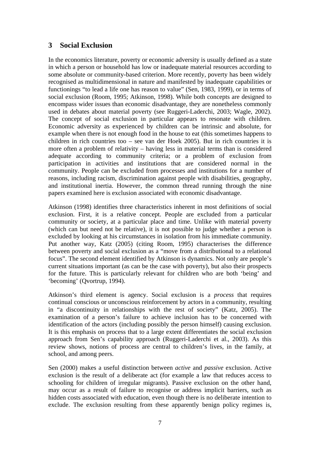## <span id="page-10-0"></span>**3 Social Exclusion**

In the economics literature, poverty or economic adversity is usually defined as a state in which a person or household has low or inadequate material resources according to some absolute or community-based criterion. More recently, poverty has been widely recognised as multidimensional in nature and manifested by inadequate capabilities or functionings "to lead a life one has reason to value" (Sen, 1983, 1999), or in terms of social exclusion (Room, 1995; Atkinson, 1998). While both concepts are designed to encompass wider issues than economic disadvantage, they are nonetheless commonly used in debates about material poverty (see Ruggeri-Laderchi, 2003; Wagle, 2002). The concept of social exclusion in particular appears to resonate with children. Economic adversity as experienced by children can be intrinsic and absolute, for example when there is not enough food in the house to eat (this sometimes happens to children in rich countries too – see van der Hoek 2005). But in rich countries it is more often a problem of relativity – having less in material terms than is considered adequate according to community criteria; or a problem of exclusion from participation in activities and institutions that are considered normal in the community. People can be excluded from processes and institutions for a number of reasons, including racism, discrimination against people with disabilities, geography, and institutional inertia. However, the common thread running through the nine papers examined here is exclusion associated with economic disadvantage.

Atkinson (1998) identifies three characteristics inherent in most definitions of social exclusion. First, it is a relative concept. People are excluded from a particular community or society, at a particular place and time. Unlike with material poverty (which can but need not be relative), it is not possible to judge whether a person is excluded by looking at his circumstances in isolation from his immediate community. Put another way, Katz (2005) (citing Room, 1995) characterises the difference between poverty and social exclusion as a "move from a distributional to a relational focus". The second element identified by Atkinson is dynamics. Not only are people's current situations important (as can be the case with poverty), but also their prospects for the future. This is particularly relevant for children who are both 'being' and 'becoming' (Qvortrup, 1994).

Atkinson's third element is agency. Social exclusion is a *process* that requires continual conscious or unconscious reinforcement by actors in a community, resulting in "a discontinuity in relationships with the rest of society" (Katz, 2005). The examination of a person's failure to achieve inclusion has to be concerned with identification of the actors (including possibly the person himself) causing exclusion. It is this emphasis on process that to a large extent differentiates the social exclusion approach from Sen's capability approach (Ruggeri-Laderchi et al., 2003). As this review shows, notions of process are central to children's lives, in the family, at school, and among peers.

Sen (2000) makes a useful distinction between *active* and *passive* exclusion. Active exclusion is the result of a deliberate act (for example a law that reduces access to schooling for children of irregular migrants). Passive exclusion on the other hand, may occur as a result of failure to recognise or address implicit barriers, such as hidden costs associated with education, even though there is no deliberate intention to exclude. The exclusion resulting from these apparently benign policy regimes is,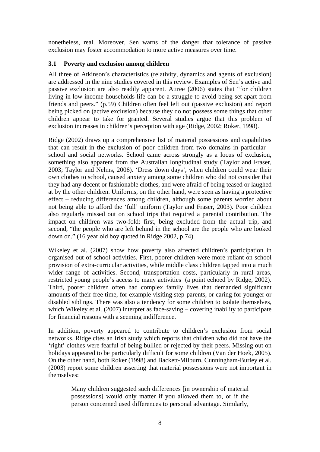nonetheless, real. Moreover, Sen warns of the danger that tolerance of passive exclusion may foster accommodation to more active measures over time.

#### **3.1 Poverty and exclusion among children**

All three of Atkinson's characteristics (relativity, dynamics and agents of exclusion) are addressed in the nine studies covered in this review. Examples of Sen's active and passive exclusion are also readily apparent. Attree (2006) states that "for children living in low-income households life can be a struggle to avoid being set apart from friends and peers." (p.59) Children often feel left out (passive exclusion) and report being picked on (active exclusion) because they do not possess some things that other children appear to take for granted. Several studies argue that this problem of exclusion increases in children's perception with age (Ridge, 2002; Roker, 1998).

Ridge (2002) draws up a comprehensive list of material possessions and capabilities that can result in the exclusion of poor children from two domains in particular – school and social networks. School came across strongly as a locus of exclusion, something also apparent from the Australian longitudinal study (Taylor and Fraser, 2003; Taylor and Nelms, 2006). 'Dress down days', when children could wear their own clothes to school, caused anxiety among some children who did not consider that they had any decent or fashionable clothes, and were afraid of being teased or laughed at by the other children. Uniforms, on the other hand, were seen as having a protective effect – reducing differences among children, although some parents worried about not being able to afford the 'full' uniform (Taylor and Fraser, 2003). Poor children also regularly missed out on school trips that required a parental contribution. The impact on children was two-fold: first, being excluded from the actual trip, and second, "the people who are left behind in the school are the people who are looked down on." (16 year old boy quoted in Ridge 2002, p.74).

Wikeley et al. (2007) show how poverty also affected children's participation in organised out of school activities. First, poorer children were more reliant on school provision of extra-curricular activities, while middle class children tapped into a much wider range of activities. Second, transportation costs, particularly in rural areas, restricted young people's access to many activities (a point echoed by Ridge, 2002). Third, poorer children often had complex family lives that demanded significant amounts of their free time, for example visiting step-parents, or caring for younger or disabled siblings. There was also a tendency for some children to isolate themselves, which Wikeley et al. (2007) interpret as face-saving – covering inability to participate for financial reasons with a seeming indifference.

In addition, poverty appeared to contribute to children's exclusion from social networks. Ridge cites an Irish study which reports that children who did not have the 'right' clothes were fearful of being bullied or rejected by their peers. Missing out on holidays appeared to be particularly difficult for some children (Van der Hoek, 2005). On the other hand, both Roker (1998) and Backett-Milburn, Cunningham-Burley et al. (2003) report some children asserting that material possessions were not important in themselves:

> Many children suggested such differences [in ownership of material possessions] would only matter if you allowed them to, or if the person concerned used differences to personal advantage. Similarly,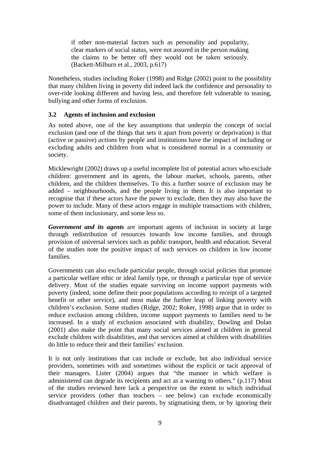if other non-material factors such as personality and popularity, clear markers of social status, were not assured in the person making the claims to be better off they would not be taken seriously. (Backett-Milburn et al., 2003, p.617)

Nonetheless, studies including Roker (1998) and Ridge (2002) point to the possibility that many children living in poverty did indeed lack the confidence and personality to over-ride looking different and having less, and therefore felt vulnerable to teasing, bullying and other forms of exclusion.

#### **3.2 Agents of inclusion and exclusion**

As noted above, one of the key assumptions that underpin the concept of social exclusion (and one of the things that sets it apart from poverty or deprivation) is that (active or passive) *actions* by people and institutions have the impact of including or excluding adults and children from what is considered normal in a community or society.

Micklewright (2002) draws up a useful incomplete list of potential actors who exclude children: government and its agents, the labour market, schools, parents, other children, and the children themselves. To this a further source of exclusion may be added – neighbourhoods, and the people living in them. It is also important to recognise that if these actors have the power to exclude, then they may also have the power to include. Many of these actors engage in multiple transactions with children, some of them inclusionary, and some less so.

*Government and its agents* are important agents of inclusion in society at large through redistribution of resources towards low income families, and through provision of universal services such as public transport, health and education. Several of the studies note the positive impact of such services on children in low income families*.*

Governments can also exclude particular people, through social policies that promote a particular welfare ethic or ideal family type, or through a particular type of service delivery. Most of the studies equate surviving on income support payments with poverty (indeed, some define their poor populations according to receipt of a targeted benefit or other service), and most make the further leap of linking poverty with children's exclusion. Some studies (Ridge, 2002; Roker, 1998) argue that in order to reduce exclusion among children, income support payments to families need to be increased. In a study of exclusion associated with disability, Dowling and Dolan (2001) also make the point that many social services aimed at children in general exclude children with disabilities, and that services aimed at children with disabilities do little to reduce their and their families' exclusion.

It is not only institutions that can include or exclude, but also individual service providers, sometimes with and sometimes without the explicit or tacit approval of their managers. Lister (2004) argues that "the manner in which welfare is administered can degrade its recipients and act as a warning to others." (p.117) Most of the studies reviewed here lack a perspective on the extent to which individual service providers (other than teachers – see below) can exclude economically disadvantaged children and their parents, by stigmatising them, or by ignoring their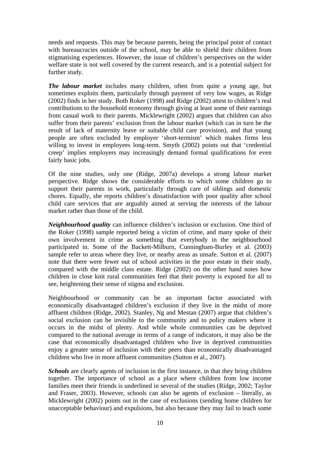needs and requests. This may be because parents, being the principal point of contact with bureaucracies outside of the school, may be able to shield their children from stigmatising experiences. However, the issue of children's perspectives on the wider welfare state is not well covered by the current research, and is a potential subject for further study.

*The labour market* includes many children, often from quite a young age, but sometimes exploits them, particularly through payment of very low wages, as Ridge (2002) finds in her study. Both Roker (1998) and Ridge (2002) attest to children's real contributions to the household economy through giving at least some of their earnings from casual work to their parents. Micklewright (2002) argues that children can also suffer from their parents' exclusion from the labour market (which can in turn be the result of lack of maternity leave or suitable child care provision), and that young people are often excluded by employer 'short-termism' which makes firms less willing to invest in employees long-term. Smyth (2002) points out that 'credential creep' implies employers may increasingly demand formal qualifications for even fairly basic jobs.

Of the nine studies, only one (Ridge, 2007a) develops a strong labour market perspective. Ridge shows the considerable efforts to which some children go to support their parents in work, particularly through care of siblings and domestic chores. Equally, she reports children's dissatisfaction with poor quality after school child care services that are arguably aimed at serving the interests of the labour market rather than those of the child.

*Neighbourhood quality* can influence children's inclusion or exclusion. One third of the Roker (1998) sample reported being a victim of crime, and many spoke of their own involvement in crime as something that everybody in the neighbourhood participated in. Some of the Backett-Milburn, Cunningham-Burley et al. (2003) sample refer to areas where they live, or nearby areas as unsafe. Sutton et al. (2007) note that there were fewer out of school activities in the poor estate in their study, compared with the middle class estate. Ridge (2002) on the other hand notes how children in close knit rural communities feel that their poverty is exposed for all to see, heightening their sense of stigma and exclusion.

Neighbourhood or community can be an important factor associated with economically disadvantaged children's exclusion if they live in the midst of more affluent children (Ridge, 2002). Stanley, Ng and Mestan (2007) argue that children's social exclusion can be invisible to the community and to policy makers where it occurs in the midst of plenty. And while whole communities can be deprived compared to the national average in terms of a range of indicators, it may also be the case that economically disadvantaged children who live in deprived communities enjoy a greater sense of inclusion with their peers than economically disadvantaged children who live in more affluent communities (Sutton et al., 2007).

*Schools* are clearly agents of inclusion in the first instance, in that they bring children together. The importance of school as a place where children from low income families meet their friends is underlined in several of the studies (Ridge, 2002; Taylor and Fraser, 2003). However, schools can also be agents of exclusion – literally, as Micklewright (2002) points out in the case of exclusions (sending home children for unacceptable behaviour) and expulsions, but also because they may fail to teach some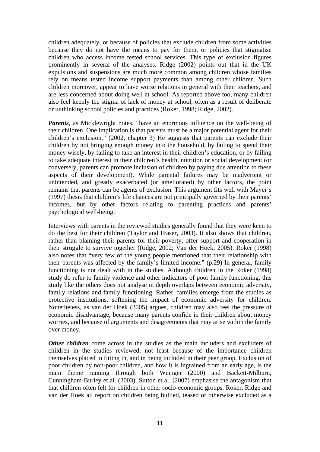children adequately, or because of policies that exclude children from some activities because they do not have the means to pay for them, or policies that stigmatise children who access income tested school services. This type of exclusion figures prominently in several of the analyses. Ridge (2002) points out that in the UK expulsions and suspensions are much more common among children whose families rely on means tested income support payments than among other children. Such children moreover, appear to have worse relations in general with their teachers, and are less concerned about doing well at school. As reported above too, many children also feel keenly the stigma of lack of money at school, often as a result of deliberate or unthinking school policies and practices (Roker, 1998; Ridge, 2002).

*Parents*, as Micklewright notes, "have an enormous influence on the well-being of their children. One implication is that parents must be a major potential agent for their children's exclusion." (2002, chapter 3) He suggests that parents can exclude their children by not bringing enough money into the household, by failing to spend their money wisely, by failing to take an interest in their children's education, or by failing to take adequate interest in their children's health, nutrition or social development (or conversely, parents can promote inclusion of children by paying due attention to these aspects of their development). While parental failures may be inadvertent or unintended, and greatly exacerbated (or ameliorated) by other factors, the point remains that parents can be agents of exclusion. This argument fits well with Mayer's (1997) thesis that children's life chances are not principally governed by their parents' incomes, but by other factors relating to parenting practices and parents' psychological well-being.

Interviews with parents in the reviewed studies generally found that they were keen to do the best for their children (Taylor and Fraser, 2003). It also shows that children, rather than blaming their parents for their poverty, offer support and cooperation in their struggle to survive together (Ridge, 2002; Van der Hoek, 2005). Roker (1998) also notes that "very few of the young people mentioned that their relationship with their parents was affected by the family's limited income." (p.29) In general, family functioning is not dealt with in the studies. Although children in the Roker (1998) study do refer to family violence and other indicators of poor family functioning, this study like the others does not analyse in depth overlaps between economic adversity, family relations and family functioning. Rather, families emerge from the studies as protective institutions, softening the impact of economic adversity for children. Nonetheless, as van der Hoek (2005) argues, children may also feel the pressure of economic disadvantage, because many parents confide in their children about money worries, and because of arguments and disagreements that may arise within the family over money.

*Other children* come across in the studies as the main includers and excluders of children in the studies reviewed, not least because of the importance children themselves placed in fitting in, and in being included in their peer group. Exclusion of poor children by non-poor children, and how it is ingrained from an early age, is the main theme running through both Weinger (2000) and Backett-Milburn, Cunningham-Burley et al. (2003). Sutton et al. (2007) emphasise the antagonism that that children often felt for children in other socio-economic groups. Roker, Ridge and van der Hoek all report on children being bullied, teased or otherwise excluded as a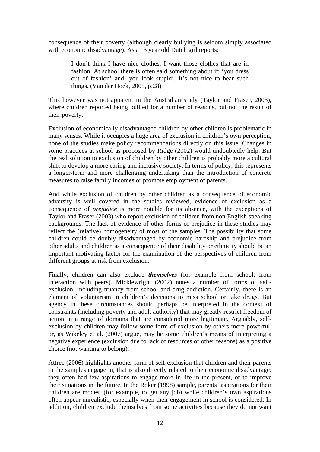consequence of their poverty (although clearly bullying is seldom simply associated with economic disadvantage). As a 13 year old Dutch girl reports:

> I don't think I have nice clothes. I want those clothes that are in fashion. At school there is often said something about it: 'you dress out of fashion' and 'you look stupid'. It's not nice to hear such things. (Van der Hoek, 2005, p.28)

This however was not apparent in the Australian study (Taylor and Fraser, 2003), where children reported being bullied for a number of reasons, but not the result of their poverty.

Exclusion of economically disadvantaged children by other children is problematic in many senses. While it occupies a huge area of exclusion in children's own perception, none of the studies make policy recommendations directly on this issue. Changes in some practices at school as proposed by Ridge (2002) would undoubtedly help. But the real solution to exclusion of children by other children is probably more a cultural shift to develop a more caring and inclusive society. In terms of policy, this represents a longer-term and more challenging undertaking than the introduction of concrete measures to raise family incomes or promote employment of parents.

And while exclusion of children by other children as a consequence of economic adversity is well covered in the studies reviewed, evidence of exclusion as a consequence of *prejudice* is more notable for its absence, with the exceptions of Taylor and Fraser (2003) who report exclusion of children from non English speaking backgrounds. The lack of evidence of other forms of prejudice in these studies may reflect the (relative) homogeneity of most of the samples. The possibility that some children could be doubly disadvantaged by economic hardship and prejudice from other adults and children as a consequence of their disability or ethnicity should be an important motivating factor for the examination of the perspectives of children from different groups at risk from exclusion.

Finally, children can also exclude *themselves* (for example from school, from interaction with peers). Micklewright (2002) notes a number of forms of selfexclusion, including truancy from school and drug addiction. Certainly, there is an element of voluntarism in children's decisions to miss school or take drugs. But agency in these circumstances should perhaps be interpreted in the context of constraints (including poverty and adult authority) that may greatly restrict freedom of action in a range of domains that are considered more legitimate. Arguably, selfexclusion by children may follow some form of exclusion by others more powerful, or, as Wikeley et al. (2007) argue, may be some children's means of interpreting a negative experience (exclusion due to lack of resources or other reasons) as a positive choice (not wanting to belong).

Attree (2006) highlights another form of self-exclusion that children and their parents in the samples engage in, that is also directly related to their economic disadvantage: they often had few aspirations to engage more in life in the present, or to improve their situations in the future. In the Roker (1998) sample, parents' aspirations for their children are modest (for example, to get any job) while children's own aspirations often appear unrealistic, especially when their engagement in school is considered. In addition, children exclude themselves from some activities because they do not want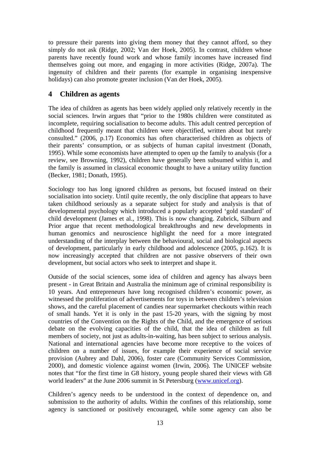to pressure their parents into giving them money that they cannot afford, so they simply do not ask (Ridge, 2002; Van der Hoek, 2005). In contrast, children whose parents have recently found work and whose family incomes have increased find themselves going out more, and engaging in more activities (Ridge, 2007a). The ingenuity of children and their parents (for example in organising inexpensive holidays) can also promote greater inclusion (Van der Hoek, 2005).

## <span id="page-16-0"></span>**4 Children as agents**

The idea of children as agents has been widely applied only relatively recently in the social sciences. Irwin argues that "prior to the 1980s children were constituted as incomplete, requiring socialisation to become adults. This adult centred perception of childhood frequently meant that children were objectified, written about but rarely consulted." (2006, p.17) Economics has often characterised children as objects of their parents' consumption, or as subjects of human capital investment (Donath, 1995). While some economists have attempted to open up the family to analysis (for a review, see Browning, 1992), children have generally been subsumed within it, and the family is assumed in classical economic thought to have a unitary utility function (Becker, 1981; Donath, 1995).

Sociology too has long ignored children as persons, but focused instead on their socialisation into society. Until quite recently, the only discipline that appears to have taken childhood seriously as a separate subject for study and analysis is that of developmental psychology which introduced a popularly accepted 'gold standard' of child development (James et al., 1998). This is now changing. Zubrick, Silburn and Prior argue that recent methodological breakthroughs and new developments in human genomics and neuroscience highlight the need for a more integrated understanding of the interplay between the behavioural, social and biological aspects of development, particularly in early childhood and adolescence (2005, p.162). It is now increasingly accepted that children are not passive observers of their own development, but social actors who seek to interpret and shape it.

Outside of the social sciences, some idea of children and agency has always been present - in Great Britain and Australia the minimum age of criminal responsibility is 10 years. And entrepreneurs have long recognised children's economic power, as witnessed the proliferation of advertisements for toys in between children's television shows, and the careful placement of candies near supermarket checkouts within reach of small hands. Yet it is only in the past 15-20 years, with the signing by most countries of the Convention on the Rights of the Child, and the emergence of serious debate on the evolving capacities of the child, that the idea of children as full members of society, not just as adults-in-waiting, has been subject to serious analysis. National and international agencies have become more receptive to the voices of children on a number of issues, for example their experience of social service provision (Aubrey and Dahl, 2006), foster care (Community Services Commission, 2000), and domestic violence against women (Irwin, 2006). The UNICEF website notes that "for the first time in G8 history, young people shared their views with G8 world leaders" at the June 2006 summit in St Petersburg [\(www.unicef.org](http://www.unicef.org/)).

Children's agency needs to be understood in the context of dependence on, and submission to the authority of adults. Within the confines of this relationship, some agency is sanctioned or positively encouraged, while some agency can also be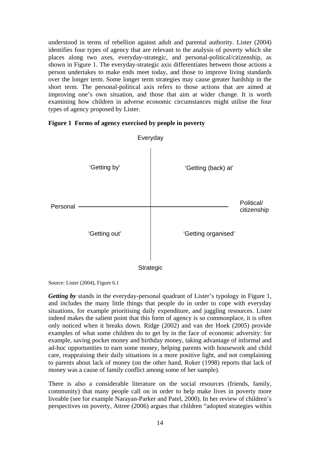understood in terms of rebellion against adult and parental authority. Lister (2004) identifies four types of agency that are relevant to the analysis of poverty which she places along two axes, everyday-strategic, and personal-political/citizenship, as shown in Figure 1. The everyday-strategic axis differentiates between those actions a person undertakes to make ends meet today, and those to improve living standards over the longer term. Some longer term strategies may cause greater hardship in the short term. The personal-political axis refers to those actions that are aimed at improving one's own situation, and those that aim at wider change. It is worth examining how children in adverse economic circumstances might utilise the four types of agency proposed by Lister.





Source: Lister (2004), Figure 6.1

*Getting by* stands in the everyday-personal quadrant of Lister's typology in Figure 1, and includes the many little things that people do in order to cope with everyday situations, for example prioritising daily expenditure, and juggling resources. Lister indeed makes the salient point that this form of agency is so commonplace, it is often only noticed when it breaks down. Ridge (2002) and van der Hoek (2005) provide examples of what some children do to get by in the face of economic adversity: for example, saving pocket money and birthday money, taking advantage of informal and ad-hoc opportunities to earn some money, helping parents with housework and child care, reappraising their daily situations in a more positive light, and not complaining to parents about lack of money (on the other hand, Roker (1998) reports that lack of money was a cause of family conflict among some of her sample).

There is also a considerable literature on the social resources (friends, family, community) that many people call on in order to help make lives in poverty more liveable (see for example Narayan-Parker and Patel, 2000). In her review of children's perspectives on poverty, Attree (2006) argues that children "adopted strategies within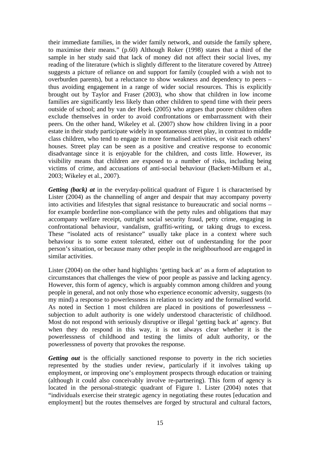their immediate families, in the wider family network, and outside the family sphere, to maximise their means." (p.60) Although Roker (1998) states that a third of the sample in her study said that lack of money did not affect their social lives, my reading of the literature (which is slightly different to the literature covered by Attree) suggests a picture of reliance on and support for family (coupled with a wish not to overburden parents), but a reluctance to show weakness and dependency to peers – thus avoiding engagement in a range of wider social resources. This is explicitly brought out by Taylor and Fraser (2003), who show that children in low income families are significantly less likely than other children to spend time with their peers outside of school; and by van der Hoek (2005) who argues that poorer children often exclude themselves in order to avoid confrontations or embarrassment with their peers. On the other hand, Wikeley et al. (2007) show how children living in a poor estate in their study participate widely in spontaneous street play, in contrast to middle class children, who tend to engage in more formalised activities, or visit each others' houses. Street play can be seen as a positive and creative response to economic disadvantage since it is enjoyable for the children, and costs little. However, its visibility means that children are exposed to a number of risks, including being victims of crime, and accusations of anti-social behaviour (Backett-Milburn et al., 2003; Wikeley et al., 2007).

*Getting (back) at* in the everyday-political quadrant of Figure 1 is characterised by Lister (2004) as the channelling of anger and despair that may accompany poverty into activities and lifestyles that signal resistance to bureaucratic and social norms – for example borderline non-compliance with the petty rules and obligations that may accompany welfare receipt, outright social security fraud, petty crime, engaging in confrontational behaviour, vandalism, graffiti-writing, or taking drugs to excess. These "isolated acts of resistance" usually take place in a context where such behaviour is to some extent tolerated, either out of understanding for the poor person's situation, or because many other people in the neighbourhood are engaged in similar activities.

Lister (2004) on the other hand highlights 'getting back at' as a form of adaptation to circumstances that challenges the view of poor people as passive and lacking agency. However, this form of agency, which is arguably common among children and young people in general, and not only those who experience economic adversity, suggests (to my mind) a response to powerlessness in relation to society and the formalised world. As noted in Section 1 most children are placed in positions of powerlessness – subjection to adult authority is one widely understood characteristic of childhood. Most do not respond with seriously disruptive or illegal 'getting back at' agency. But when they do respond in this way, it is not always clear whether it is the powerlessness of childhood and testing the limits of adult authority, or the powerlessness of poverty that provokes the response.

*Getting out* is the officially sanctioned response to poverty in the rich societies represented by the studies under review, particularly if it involves taking up employment, or improving one's employment prospects through education or training (although it could also conceivably involve re-partnering). This form of agency is located in the personal-strategic quadrant of Figure 1. Lister (2004) notes that "individuals exercise their strategic agency in negotiating these routes [education and employment] but the routes themselves are forged by structural and cultural factors,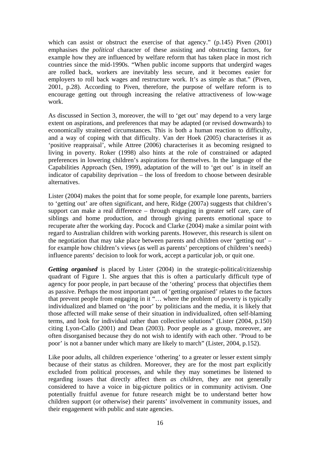which can assist or obstruct the exercise of that agency." (p.145) Piven (2001) emphasises the *political* character of these assisting and obstructing factors, for example how they are influenced by welfare reform that has taken place in most rich countries since the mid-1990s. "When public income supports that undergird wages are rolled back, workers are inevitably less secure, and it becomes easier for employers to roll back wages and restructure work. It's as simple as that." (Piven, 2001, p.28). According to Piven, therefore, the purpose of welfare reform is to encourage getting out through increasing the relative attractiveness of low-wage work.

As discussed in Section 3, moreover, the will to 'get out' may depend to a very large extent on aspirations, and preferences that may be adapted (or revised downwards) to economically straitened circumstances. This is both a human reaction to difficulty, and a way of coping with that difficulty. Van der Hoek (2005) characterises it as 'positive reappraisal', while Attree (2006) characterises it as becoming resigned to living in poverty. Roker (1998) also hints at the role of constrained or adapted preferences in lowering children's aspirations for themselves. In the language of the Capabilities Approach (Sen, 1999), adaptation of the will to 'get out' is in itself an indicator of capability deprivation – the loss of freedom to choose between desirable alternatives.

Lister (2004) makes the point that for some people, for example lone parents, barriers to 'getting out' are often significant, and here, Ridge (2007a) suggests that children's support can make a real difference – through engaging in greater self care, care of siblings and home production, and through giving parents emotional space to recuperate after the working day. Pocock and Clarke (2004) make a similar point with regard to Australian children with working parents. However, this research is silent on the negotiation that may take place between parents and children over 'getting out' – for example how children's views (as well as parents' perceptions of children's needs) influence parents' decision to look for work, accept a particular job, or quit one.

*Getting organised* is placed by Lister (2004) in the strategic-political/citizenship quadrant of Figure 1. She argues that this is often a particularly difficult type of agency for poor people, in part because of the 'othering' process that objectifies them as passive. Perhaps the most important part of 'getting organised' relates to the factors that prevent people from engaging in it "… where the problem of poverty is typically individualized and blamed on 'the poor' by politicians and the media, it is likely that those affected will make sense of their situation in individualized, often self-blaming terms, and look for individual rather than collective solutions" (Lister (2004, p.150) citing Lyon-Callo (2001) and Dean (2003). Poor people as a group, moreover, are often disorganised because they do not wish to identify with each other. 'Proud to be poor' is not a banner under which many are likely to march" (Lister, 2004, p.152).

Like poor adults, all children experience 'othering' to a greater or lesser extent simply because of their status as children. Moreover, they are for the most part explicitly excluded from political processes, and while they may sometimes be listened to regarding issues that directly affect them *as children*, they are not generally considered to have a voice in big-picture politics or in community activism. One potentially fruitful avenue for future research might be to understand better how children support (or otherwise) their parents' involvement in community issues, and their engagement with public and state agencies.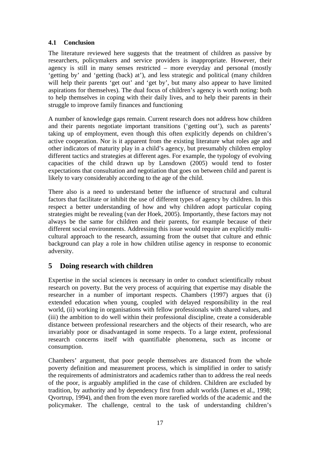## **4.1 Conclusion**

The literature reviewed here suggests that the treatment of children as passive by researchers, policymakers and service providers is inappropriate. However, their agency is still in many senses restricted – more everyday and personal (mostly 'getting by' and 'getting (back) at'), and less strategic and political (many children will help their parents 'get out' and 'get by', but many also appear to have limited aspirations for themselves). The dual focus of children's agency is worth noting: both to help themselves in coping with their daily lives, and to help their parents in their struggle to improve family finances and functioning

A number of knowledge gaps remain. Current research does not address how children and their parents negotiate important transitions ('getting out'), such as parents' taking up of employment, even though this often explicitly depends on children's active cooperation. Nor is it apparent from the existing literature what roles age and other indicators of maturity play in a child's agency, but presumably children employ different tactics and strategies at different ages. For example, the typology of evolving capacities of the child drawn up by Lansdown (2005) would tend to foster expectations that consultation and negotiation that goes on between child and parent is likely to vary considerably according to the age of the child.

There also is a need to understand better the influence of structural and cultural factors that facilitate or inhibit the use of different types of agency by children. In this respect a better understanding of how and why children adopt particular coping strategies might be revealing (van der Hoek, 2005). Importantly, these factors may not always be the same for children and their parents, for example because of their different social environments. Addressing this issue would require an explicitly multicultural approach to the research, assuming from the outset that culture and ethnic background can play a role in how children utilise agency in response to economic adversity.

# <span id="page-20-0"></span>**5 Doing research with children**

Expertise in the social sciences is necessary in order to conduct scientifically robust research on poverty. But the very process of acquiring that expertise may disable the researcher in a number of important respects. Chambers (1997) argues that (i) extended education when young, coupled with delayed responsibility in the real world, (ii) working in organisations with fellow professionals with shared values, and (iii) the ambition to do well within their professional discipline, create a considerable distance between professional researchers and the objects of their research, who are invariably poor or disadvantaged in some respects. To a large extent, professional research concerns itself with quantifiable phenomena, such as income or consumption.

Chambers' argument, that poor people themselves are distanced from the whole poverty definition and measurement process, which is simplified in order to satisfy the requirements of administrators and academics rather than to address the real needs of the poor, is arguably amplified in the case of children. Children are excluded by tradition, by authority and by dependency first from adult worlds (James et al., 1998; Qvortrup, 1994), and then from the even more rarefied worlds of the academic and the policymaker. The challenge, central to the task of understanding children's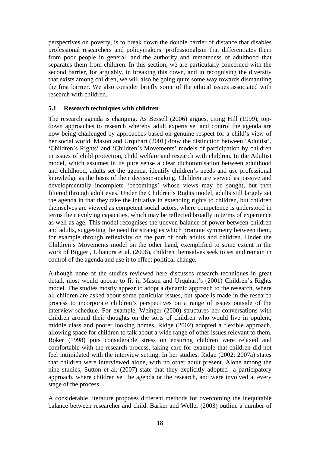perspectives on poverty, is to break down the double barrier of distance that disables professional researchers and policymakers: professionalism that differentiates them from poor people in general, and the authority and remoteness of adulthood that separates them from children. In this section, we are particularly concerned with the second barrier, for arguably, in breaking this down, and in recognising the diversity that exists among children, we will also be going quite some way towards dismantling the first barrier. We also consider briefly some of the ethical issues associated with research with children.

#### **5.1 Research techniques with children**

The research agenda is changing. As Bessell (2006) argues, citing Hill (1999), topdown approaches to research whereby adult experts set and control the agenda are now being challenged by approaches based on genuine respect for a child's view of her social world. Mason and Urquhart (2001) draw the distinction between 'Adultist', 'Children's Rights' and 'Children's Movements' models of participation by children in issues of child protection, child welfare and research with children. In the Adultist model, which assumes in its pure sense a clear dichotomisation between adulthood and childhood, adults set the agenda, identify children's needs and use professional knowledge as the basis of their decision-making. Children are viewed as passive and developmentally incomplete 'becomings' whose views may be sought, but then filtered through adult eyes. Under the Children's Rights model, adults still largely set the agenda in that they take the initiative in extending rights to children, but children themselves are viewed as competent social actors, where competence is understood in terms their evolving capacities, which may be reflected broadly in terms of experience as well as age. This model recognises the uneven balance of power between children and adults, suggesting the need for strategies which promote symmetry between them, for example through reflexivity on the part of both adults and children. Under the Children's Movements model on the other hand, exemplified to some extent in the work of Biggeri, Libanora et al. (2006), children themselves seek to set and remain in control of the agenda and use it to effect political change.

Although none of the studies reviewed here discusses research techniques in great detail, most would appear to fit in Mason and Urquhart's (2001) Children's Rights model. The studies mostly appear to adopt a dynamic approach to the research, where all children are asked about some particular issues, but space is made in the research process to incorporate children's perspectives on a range of issues outside of the interview schedule. For example, Weinger (2000) structures her conversations with children around their thoughts on the sorts of children who would live in opulent, middle class and poorer looking homes. Ridge (2002) adopted a flexible approach, allowing space for children to talk about a wide range of other issues relevant to them. Roker (1998) puts considerable stress on ensuring children were relaxed and comfortable with the research process, taking care for example that children did not feel intimidated with the interview setting. In her studies, Ridge (2002; 2007a) states that children were interviewed alone, with no other adult present. Alone among the nine studies, Sutton et al. (2007) state that they explicitly adopted a participatory approach, where children set the agenda or the research, and were involved at every stage of the process.

A considerable literature proposes different methods for overcoming the inequitable balance between researcher and child. Barker and Weller (2003) outline a number of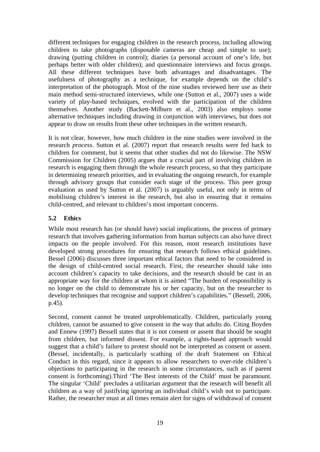different techniques for engaging children in the research process, including allowing children to take photographs (disposable cameras are cheap and simple to use); drawing (putting children in control); diaries (a personal account of one's life, but perhaps better with older children); and questionnaire interviews and focus groups. All these different techniques have both advantages and disadvantages. The usefulness of photography as a technique, for example depends on the child's interpretation of the photograph. Most of the nine studies reviewed here use as their main method semi-structured interviews, while one (Sutton et al., 2007) uses a wide variety of play-based techniques, evolved with the participation of the children themselves. Another study (Backett-Milburn et al., 2003) also employs some alternative techniques including drawing in conjunction with interviews, but does not appear to draw on results from these other techniques in the written research.

It is not clear, however, how much children in the nine studies were involved in the research *process*. Sutton et al. (2007) report that research results were fed back to children for comment, but it seems that other studies did not do likewise. The NSW Commission for Children (2005) argues that a crucial part of involving children in research is engaging them through the whole research process, so that they participate in determining research priorities, and in evaluating the ongoing research, for example through advisory groups that consider each stage of the process. This peer group evaluation as used by Sutton et al. (2007) is arguably useful, not only in terms of mobilising children's interest in the research, but also in ensuring that it remains child-centred, and relevant to children's most important concerns.

## **5.2 Ethics**

While most research has (or should have) social implications, the process of primary research that involves gathering information from human subjects can also have direct impacts on the people involved. For this reason, most research institutions have developed strong procedures for ensuring that research follows ethical guidelines. Bessel (2006) discusses three important ethical factors that need to be considered in the design of child-centred social research. First, the researcher should take into account children's capacity to take decisions, and the research should be cast in an appropriate way for the children at whom it is aimed "The burden of responsibility is no longer on the child to demonstrate his or her capacity, but on the researcher to develop techniques that recognise and support children's capabilities." (Bessell, 2006, p.45).

Second, consent cannot be treated unproblematically. Children, particularly young children, cannot be assumed to give consent in the way that adults do. Citing Boyden and Ennew (1997) Bessell states that it is not consent or assent that should be sought from children, but informed dissent. For example, a rights-based approach would suggest that a child's failure to protest should not be interpreted as consent or assent. (Bessel, incidentally, is particularly scathing of the draft Statement on Ethical Conduct in this regard, since it appears to allow researchers to over-ride children's objections to participating in the research in some circumstances, such as if parent consent is forthcoming).Third 'The Best interests of the Child' must be paramount. The singular 'Child' precludes a utilitarian argument that the research will benefit all children as a way of justifying ignoring an individual child's wish not to participate. Rather, the researcher must at all times remain alert for signs of withdrawal of consent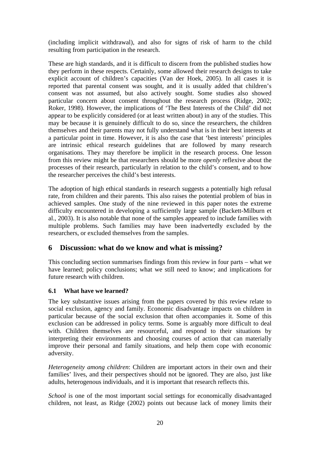(including implicit withdrawal), and also for signs of risk of harm to the child resulting from participation in the research.

These are high standards, and it is difficult to discern from the published studies how they perform in these respects. Certainly, some allowed their research designs to take explicit account of children's capacities (Van der Hoek, 2005). In all cases it is reported that parental consent was sought, and it is usually added that children's consent was not assumed, but also actively sought. Some studies also showed particular concern about consent throughout the research process (Ridge, 2002; Roker, 1998). However, the implications of 'The Best Interests of the Child' did not appear to be explicitly considered (or at least written about) in any of the studies. This may be because it is genuinely difficult to do so, since the researchers, the children themselves and their parents may not fully understand what is in their best interests at a particular point in time. However, it is also the case that 'best interests' principles are intrinsic ethical research guidelines that are followed by many research organisations. They may therefore be implicit in the research process. One lesson from this review might be that researchers should be more *openly* reflexive about the processes of their research, particularly in relation to the child's consent, and to how the researcher perceives the child's best interests.

The adoption of high ethical standards in research suggests a potentially high refusal rate, from children and their parents. This also raises the potential problem of bias in achieved samples. One study of the nine reviewed in this paper notes the extreme difficulty encountered in developing a sufficiently large sample (Backett-Milburn et al., 2003). It is also notable that none of the samples appeared to include families with multiple problems. Such families may have been inadvertedly excluded by the researchers, or excluded themselves from the samples.

# <span id="page-23-0"></span>**6 Discussion: what do we know and what is missing?**

This concluding section summarises findings from this review in four parts – what we have learned; policy conclusions; what we still need to know; and implications for future research with children.

## **6.1 What have we learned?**

The key substantive issues arising from the papers covered by this review relate to social exclusion, agency and family. Economic disadvantage impacts on children in particular because of the social exclusion that often accompanies it. Some of this exclusion can be addressed in policy terms. Some is arguably more difficult to deal with. Children themselves are resourceful, and respond to their situations by interpreting their environments and choosing courses of action that can materially improve their personal and family situations, and help them cope with economic adversity.

*Heterogeneity among children*: Children are important actors in their own and their families' lives, and their perspectives should not be ignored. They are also, just like adults, heterogenous individuals, and it is important that research reflects this.

*School* is one of the most important social settings for economically disadvantaged children, not least, as Ridge (2002) points out because lack of money limits their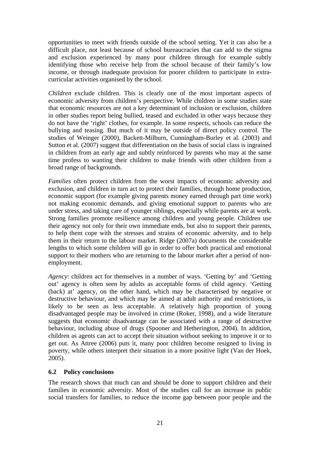opportunities to meet with friends outside of the school setting. Yet it can also be a difficult place, not least because of school bureaucracies that can add to the stigma and exclusion experienced by many poor children through for example subtly identifying those who receive help from the school because of their family's low income, or through inadequate provision for poorer children to participate in extracurricular activities organised by the school.

*Children* exclude children. This is clearly one of the most important aspects of economic adversity from children's perspective. While children in some studies state that economic resources are not a key determinant of inclusion or exclusion, children in other studies report being bullied, teased and excluded in other ways because they do not have the 'right' clothes, for example. In some respects, schools can reduce the bullying and teasing. But much of it may be outside of direct policy control. The studies of Weinger (2000), Backett-Milburn, Cunningham-Burley et al. (2003) and Sutton et al. (2007) suggest that differentiation on the basis of social class is ingrained in children from an early age and subtly reinforced by parents who may at the same time profess to wanting their children to make friends with other children from a broad range of backgrounds.

*Families* often protect children from the worst impacts of economic adversity and exclusion, and children in turn act to protect their families, through home production, economic support (for example giving parents money earned through part time work) not making economic demands, and giving emotional support to parents who are under stress, and taking care of younger siblings, especially while parents are at work. Strong families promote resilience among children and young people. Children use their agency not only for their own immediate ends, but also to support their parents, to help them cope with the stresses and strains of economic adversity, and to help them in their return to the labour market. Ridge (2007a) documents the considerable lengths to which some children will go in order to offer both practical and emotional support to their mothers who are returning to the labour market after a period of nonemployment.

*Agency*: children act for themselves in a number of ways. 'Getting by' and 'Getting out' agency is often seen by adults as acceptable forms of child agency. 'Getting (back) at' agency, on the other hand, which may be characterised by negative or destructive behaviour, and which may be aimed at adult authority and restrictions, is likely to be seen as less acceptable. A relatively high proportion of young disadvantaged people may be involved in crime (Roker, 1998), and a wide literature suggests that economic disadvantage can be associated with a range of destructive behaviour, including abuse of drugs (Spooner and Hetherington, 2004). In addition, children as agents can act to accept their situation without seeking to improve it or to get out. As Attree (2006) puts it, many poor children become resigned to living in poverty, while others interpret their situation in a more positive light (Van der Hoek, 2005).

#### **6.2 Policy conclusions**

The research shows that much can and should be done to support children and their families in economic adversity. Most of the studies call for an increase in public social transfers for families, to reduce the income gap between poor people and the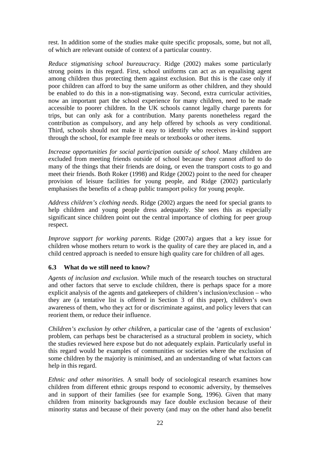rest. In addition some of the studies make quite specific proposals, some, but not all, of which are relevant outside of context of a particular country.

*Reduce stigmatising school bureaucracy*. Ridge (2002) makes some particularly strong points in this regard. First, school uniforms can act as an equalising agent among children thus protecting them against exclusion. But this is the case only if poor children can afford to buy the same uniform as other children, and they should be enabled to do this in a non-stigmatising way. Second, extra curricular activities, now an important part the school experience for many children, need to be made accessible to poorer children. In the UK schools cannot legally charge parents for trips, but can only ask for a contribution. Many parents nonetheless regard the contribution as compulsory, and any help offered by schools as very conditional. Third, schools should not make it easy to identify who receives in-kind support through the school, for example free meals or textbooks or other items.

*Increase opportunities for social participation outside of school*. Many children are excluded from meeting friends outside of school because they cannot afford to do many of the things that their friends are doing, or even the transport costs to go and meet their friends. Both Roker (1998) and Ridge (2002) point to the need for cheaper provision of leisure facilities for young people, and Ridge (2002) particularly emphasises the benefits of a cheap public transport policy for young people.

*Address children's clothing needs*. Ridge (2002) argues the need for special grants to help children and young people dress adequately. She sees this as especially significant since children point out the central importance of clothing for peer group respect.

*Improve support for working parents.* Ridge (2007a) argues that a key issue for children whose mothers return to work is the quality of care they are placed in, and a child centred approach is needed to ensure high quality care for children of all ages.

## **6.3 What do we still need to know?**

*Agents of inclusion and exclusion*. While much of the research touches on structural and other factors that serve to exclude children, there is perhaps space for a more explicit analysis of the agents and gatekeepers of children's inclusion/exclusion – who they are (a tentative list is offered in Section 3 of this paper), children's own awareness of them, who they act for or discriminate against, and policy levers that can reorient them, or reduce their influence.

*Children's exclusion by other children*, a particular case of the 'agents of exclusion' problem, can perhaps best be characterised as a structural problem in society, which the studies reviewed here expose but do not adequately explain. Particularly useful in this regard would be examples of communities or societies where the exclusion of some children by the majority is minimised, and an understanding of what factors can help in this regard.

*Ethnic and other minorities.* A small body of sociological research examines how children from different ethnic groups respond to economic adversity, by themselves and in support of their families (see for example Song, 1996). Given that many children from minority backgrounds may face double exclusion because of their minority status and because of their poverty (and may on the other hand also benefit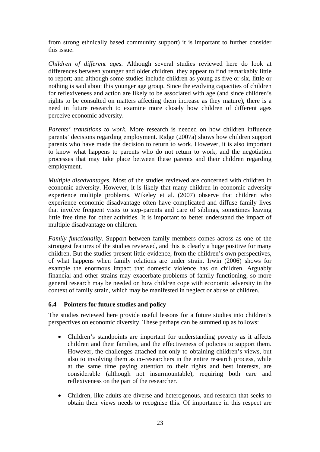from strong ethnically based community support) it is important to further consider this issue.

*Children of different ages.* Although several studies reviewed here do look at differences between younger and older children, they appear to find remarkably little to report; and although some studies include children as young as five or six, little or nothing is said about this younger age group. Since the evolving capacities of children for reflexiveness and action are likely to be associated with age (and since children's rights to be consulted on matters affecting them increase as they mature), there is a need in future research to examine more closely how children of different ages perceive economic adversity.

*Parents' transitions to work.* More research is needed on how children influence parents' decisions regarding employment. Ridge (2007a) shows how children support parents who have made the decision to return to work. However, it is also important to know what happens to parents who do not return to work, and the negotiation processes that may take place between these parents and their children regarding employment.

*Multiple disadvantages.* Most of the studies reviewed are concerned with children in economic adversity. However, it is likely that many children in economic adversity experience multiple problems. Wikeley et al. (2007) observe that children who experience economic disadvantage often have complicated and diffuse family lives that involve frequent visits to step-parents and care of siblings, sometimes leaving little free time for other activities. It is important to better understand the impact of multiple disadvantage on children.

*Family functionality.* Support between family members comes across as one of the strongest features of the studies reviewed, and this is clearly a huge positive for many children. But the studies present little evidence, from the children's own perspectives, of what happens when family relations are under strain. Irwin (2006) shows for example the enormous impact that domestic violence has on children. Arguably financial and other strains may exacerbate problems of family functioning, so more general research may be needed on how children cope with economic adversity in the context of family strain, which may be manifested in neglect or abuse of children.

#### **6.4 Pointers for future studies and policy**

The studies reviewed here provide useful lessons for a future studies into children's perspectives on economic diversity. These perhaps can be summed up as follows:

- Children's standpoints are important for understanding poverty as it affects children and their families, and the effectiveness of policies to support them. However, the challenges attached not only to obtaining children's views, but also to involving them as co-researchers in the entire research process, while at the same time paying attention to their rights and best interests, are considerable (although not insurmountable), requiring both care and reflexiveness on the part of the researcher.
- Children, like adults are diverse and heterogenous, and research that seeks to obtain their views needs to recognise this. Of importance in this respect are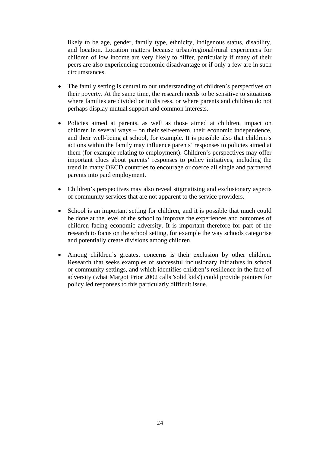likely to be age, gender, family type, ethnicity, indigenous status, disability, and location. Location matters because urban/regional/rural experiences for children of low income are very likely to differ, particularly if many of their peers are also experiencing economic disadvantage or if only a few are in such circumstances.

- The family setting is central to our understanding of children's perspectives on their poverty. At the same time, the research needs to be sensitive to situations where families are divided or in distress, or where parents and children do not perhaps display mutual support and common interests.
- Policies aimed at parents, as well as those aimed at children, impact on children in several ways – on their self-esteem, their economic independence, and their well-being at school, for example. It is possible also that children's actions within the family may influence parents' responses to policies aimed at them (for example relating to employment). Children's perspectives may offer important clues about parents' responses to policy initiatives, including the trend in many OECD countries to encourage or coerce all single and partnered parents into paid employment.
- Children's perspectives may also reveal stigmatising and exclusionary aspects of community services that are not apparent to the service providers.
- School is an important setting for children, and it is possible that much could be done at the level of the school to improve the experiences and outcomes of children facing economic adversity. It is important therefore for part of the research to focus on the school setting, for example the way schools categorise and potentially create divisions among children.
- Among children's greatest concerns is their exclusion by other children. Research that seeks examples of successful inclusionary initiatives in school or community settings, and which identifies children's resilience in the face of adversity (what Margot Prior 2002 calls 'solid kids') could provide pointers for policy led responses to this particularly difficult issue.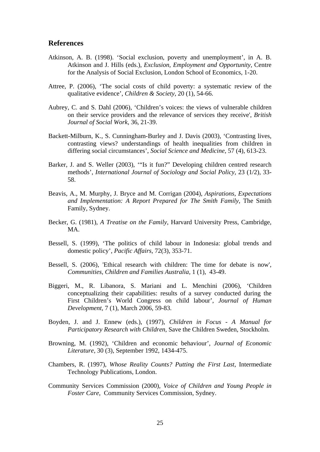#### **References**

- Atkinson, A. B. (1998). 'Social exclusion, poverty and unemployment', in A. B. Atkinson and J. Hills (eds.), *Exclusion, Employment and Opportunity,* Centre for the Analysis of Social Exclusion, London School of Economics, 1-20.
- Attree, P. (2006), 'The social costs of child poverty: a systematic review of the qualitative evidence', *Children & Society,* 20 (1), 54-66.
- Aubrey, C. and S. Dahl (2006), 'Children's voices: the views of vulnerable children on their service providers and the relevance of services they receive', *British Journal of Social Work,* 36, 21-39.
- Backett-Milburn, K., S. Cunningham-Burley and J. Davis (2003), 'Contrasting lives, contrasting views? understandings of health inequalities from children in differing social circumstances', *Social Science and Medicine,* 57 (4), 613-23.
- Barker, J. and S. Weller (2003), '"Is it fun?" Developing children centred research methods', *International Journal of Sociology and Social Policy,* 23 (1/2), 33- 58.
- Beavis, A., M. Murphy, J. Bryce and M. Corrigan (2004), *Aspirations, Expectations and Implementation: A Report Prepared for The Smith Family*, The Smith Family, Sydney.
- Becker, G. (1981), *A Treatise on the Family*, Harvard University Press, Cambridge, MA.
- Bessell, S. (1999), 'The politics of child labour in Indonesia: global trends and domestic policy', *Pacific Affairs*, 72(3), 353-71.
- Bessell, S. (2006), 'Ethical research with children: The time for debate is now', *Communities, Children and Families Australia,* 1 (1), 43-49.
- Biggeri, M., R. Libanora, S. Mariani and L. Menchini (2006), 'Children conceptualizing their capabilities: results of a survey conducted during the First Children's World Congress on child labour', *Journal of Human Development,* 7 (1), March 2006, 59-83.
- Boyden, J. and J. Ennew (eds.), (1997), *Children in Focus A Manual for Participatory Research with Children*, Save the Children Sweden, Stockholm.
- Browning, M. (1992), 'Children and economic behaviour', *Journal of Economic Literature,* 30 (3), September 1992, 1434-475.
- Chambers, R. (1997), *Whose Reality Counts? Putting the First Last*, Intermediate Technology Publications, London.
- Community Services Commission (2000), *Voice of Children and Young People in Foster Care*, Community Services Commission, Sydney.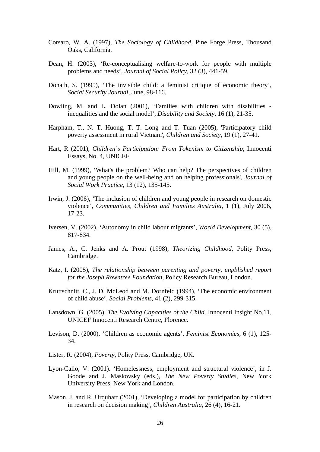- Corsaro, W. A. (1997), *The Sociology of Childhood*, Pine Forge Press, Thousand Oaks, California.
- Dean, H. (2003), 'Re-conceptualising welfare-to-work for people with multiple problems and needs', *Journal of Social Policy,* 32 (3), 441-59.
- Donath, S. (1995), 'The invisible child: a feminist critique of economic theory', *Social Security Journal,* June, 98-116.
- Dowling, M. and L. Dolan (2001), 'Families with children with disabilities inequalities and the social model', *Disability and Society,* 16 (1), 21-35.
- Harpham, T., N. T. Huong, T. T. Long and T. Tuan (2005), 'Participatory child poverty assessment in rural Vietnam', *Children and Society*, 19 (1), 27-41.
- Hart, R (2001), *Children's Participation: From Tokenism to Citizenship*, Innocenti Essays, No. 4, UNICEF.
- Hill, M. (1999), 'What's the problem? Who can help? The perspectives of children and young people on the well-being and on helping professionals', *Journal of Social Work Practice,* 13 (12), 135-145.
- Irwin, J. (2006), 'The inclusion of children and young people in research on domestic violence', *Communities, Children and Families Australia,* 1 (1), July 2006, 17-23.
- Iversen, V. (2002), 'Autonomy in child labour migrants', *World Development*, 30 (5), 817-834.
- James, A., C. Jenks and A. Prout (1998), *Theorizing Childhood*, Polity Press, Cambridge.
- Katz, I. (2005), *The relationship between parenting and poverty, unpblished report for the Joseph Rowntree Foundation*, Policy Research Bureau, London.
- Kruttschnitt, C., J. D. McLeod and M. Dornfeld (1994), 'The economic environment of child abuse', *Social Problems,* 41 (2), 299-315.
- Lansdown, G. (2005), *The Evolving Capacities of the Child*. Innocenti Insight No.11, UNICEF Innocenti Research Centre, Florence.
- Levison, D. (2000), 'Children as economic agents', *Feminist Economics,* 6 (1), 125- 34.
- Lister, R. (2004), *Poverty*, Polity Press, Cambridge, UK.
- Lyon-Callo, V. (2001). 'Homelessness, employment and structural violence', in J. Goode and J. Maskovsky (eds.), *The New Poverty Studies*, New York University Press, New York and London.
- Mason, J. and R. Urquhart (2001), 'Developing a model for participation by children in research on decision making', *Children Australia,* 26 (4), 16-21.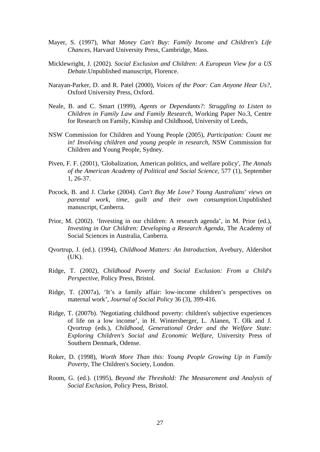- Mayer, S. (1997), *What Money Can't Buy: Family Income and Children's Life Chances*, Harvard University Press, Cambridge, Mass.
- Micklewright, J. (2002). *Social Exclusion and Children: A European View for a US Debate*.Unpublished manuscript, Florence.
- Narayan-Parker, D. and R. Patel (2000), *Voices of the Poor: Can Anyone Hear Us?*, Oxford University Press, Oxford.
- Neale, B. and C. Smart (1999), *Agents or Dependants?: Struggling to Listen to Children in Family Law and Family Research*, Working Paper No.3, Centre for Research on Family, Kinship and Childhood, University of Leeds,
- NSW Commission for Children and Young People (2005), *Participation: Count me in! Involving children and young people in research*, NSW Commission for Children and Young People, Sydney.
- Piven, F. F. (2001), 'Globalization, American politics, and welfare policy', *The Annals of the American Academy of Political and Social Science*, 577 (1), September 1, 26-37.
- Pocock, B. and J. Clarke (2004). *Can't Buy Me Love? Young Australians' views on parental work, time, guilt and their own consumption*.Unpublished manuscript, Canberra.
- Prior, M. (2002). 'Investing in our children: A research agenda', in M. Prior (ed.), *Investing in Our Children: Developing a Research Agenda*, The Academy of Social Sciences in Australia, Canberra.
- Qvortrup, J. (ed.). (1994), *Childhood Matters: An Introduction*, Avebury, Aldershot (UK).
- Ridge, T. (2002), *Childhood Poverty and Social Exclusion: From a Child's Perspective*, Policy Press, Bristol.
- Ridge, T. (2007a), 'It's a family affair: low-income children's perspectives on maternal work', *Journal of Social Policy* 36 (3), 399-416.
- Ridge, T. (2007b). 'Negotiating childhood poverty: children's subjective experiences of life on a low income', in H. Wintersberger, L. Alanen, T. Olk and J. Qvortrup (eds.), *Childhood, Generational Order and the Welfare State: Exploring Children's Social and Economic Welfare*, University Press of Southern Denmark, Odense.
- Roker, D. (1998), *Worth More Than this: Young People Growing Up in Family Poverty*, The Children's Society, London.
- Room, G. (ed.). (1995), *Beyond the Threshold: The Measurement and Analysis of Social Exclusion*, Policy Press, Bristol.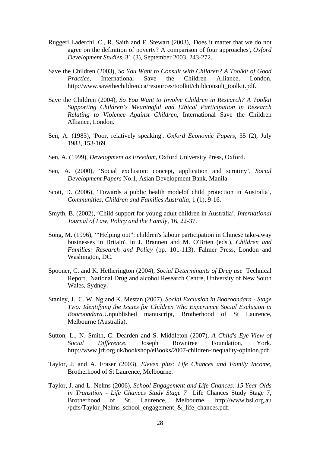- Ruggeri Laderchi, C., R. Saith and F. Stewart (2003), 'Does it matter that we do not agree on the definition of poverty? A comparison of four approaches', *Oxford Development Studies,* 31 (3), September 2003, 243-272.
- Save the Children (2003), *So You Want to Consult with Children? A Toolkit of Good Practice*, International Save the Children Alliance, London. http://www.savethechildren.ca/resources/toolkit/childconsult\_toolkit.pdf.
- Save the Children (2004), *So You Want to Involve Children in Research? A Toolkit Supporting Children's Meaningful and Ethical Participation in Research Relating to Violence Against Children*, International Save the Children Alliance, London.
- Sen, A. (1983), 'Poor, relatively speaking', *Oxford Economic Papers*, 35 (2), July 1983, 153-169.
- Sen, A. (1999), *Development as Freedom*, Oxford University Press, Oxford.
- Sen, A. (2000), 'Social exclusion: concept, application and scrutiny', *Social Development Papers* No.1, Asian Development Bank, Manila.
- Scott, D. (2006), 'Towards a public health modelof child protection in Australia', *Communities, Children and Families Australia,* 1 (1), 9-16.
- Smyth, B. (2002), 'Child support for young adult children in Australia', *International Journal of Law, Policy and the Family,* 16, 22-37.
- Song, M. (1996), '"Helping out": children's labour participation in Chinese take-away businesses in Britain', in J. Brannen and M. O'Brien (eds.), *Children and Families: Research and Policy* (pp. 101-113), Falmer Press, London and Washington, DC.
- Spooner, C. and K. Hetherington (2004), *Social Determinants of Drug use* Technical Report, National Drug and alcohol Research Centre, University of New South Wales, Sydney.
- Stanley, J., C. W. Ng and K. Mestan (2007). *Social Exclusion in Booroondara Stage Two: Identifying the Issues for Children Who Experience Social Exclusion in Booroondara*.Unpublished manuscript, Brotherhood of St Laurence, Melbourne (Australia).
- Sutton, L., N. Smith, C. Dearden and S. Middleton (2007), *A Child's Eye-View of Social Difference*, Joseph Rowntree Foundation, York. http://www.jrf.org.uk/bookshop/eBooks/2007-children-inequality-opinion.pdf.
- Taylor, J. and A. Fraser (2003), *Eleven plus: Life Chances and Family Income*, Brotherhood of St Laurence, Melbourne.
- Taylor, J. and L. Nelms (2006), *School Engagement and Life Chances: 15 Year Olds in Transition - Life Chances Study Stage 7* Life Chances Study Stage 7, Brotherhood of St. Laurence, Melbourne. http://www.bsl.org.au /pdfs/Taylor\_Nelms\_school\_engagement\_&\_life\_chances.pdf.